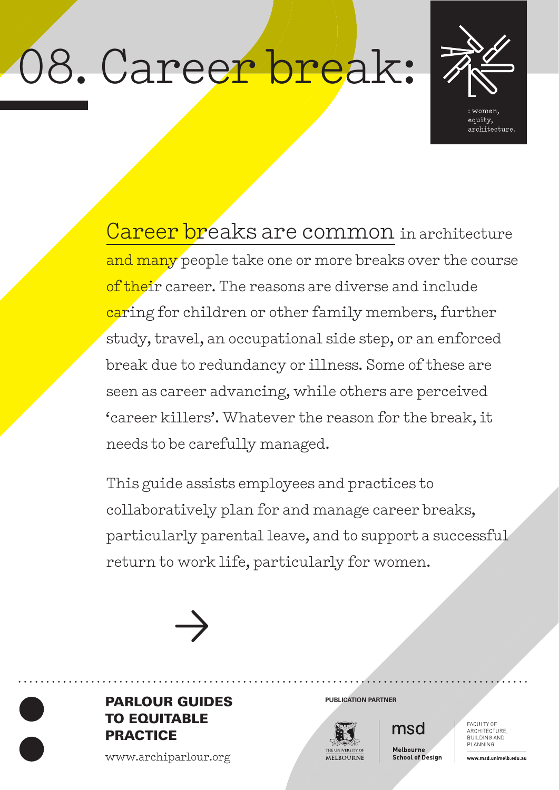# 08. Career break:



Career breaks are common in architecture and many people take one or more breaks over the course of their career. The reasons are diverse and include caring for children or other family members, further study, travel, an occupational side step, or an enforced break due to redundancy or illness. Some of these are seen as career advancing, while others are perceived 'career killers'. Whatever the reason for the break, it needs to be carefully managed.

This guide assists employees and practices to collaboratively plan for and manage career breaks, particularly parental leave, and to support a successful return to work life, particularly for women.





www.archiparlour.org



msd

Melbourne **School of Design**  FACULTY OF<br>ARCHITECTURE, BUILDING AND PLANNING

www.msd.unimelb.edu.au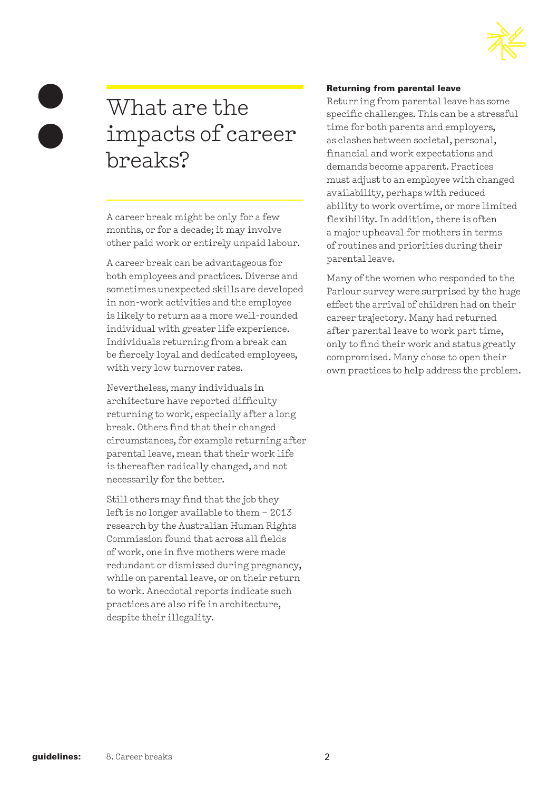

# What are the impacts of career breaks?

A career break might be only for a few months, or for a decade; it may involve other paid work or entirely unpaid labour.

A career break can be advantageous for both employees and practices. Diverse and sometimes unexpected skills are developed in non-work activities and the employee is likely to return as a more well-rounded individual with greater life experience. Individuals returning from a break can be fiercely loyal and dedicated employees, with very low turnover rates.

Nevertheless, many individuals in architecture have reported difficulty returning to work, especially after a long break. Others find that their changed circumstances, for example returning after parental leave, mean that their work life is thereafter radically changed, and not necessarily for the better.

Still others may find that the job they left is no longer available to them – 2013 research by the Australian Human Rights Commission found that across all fields of work, one in five mothers were made redundant or dismissed during pregnancy, while on parental leave, or on their return to work. Anecdotal reports indicate such practices are also rife in architecture, despite their illegality.

#### Returning from parental leave

Returning from parental leave has some specific challenges. This can be a stressful time for both parents and employers, as clashes between societal, personal, financial and work expectations and demands become apparent. Practices must adjust to an employee with changed availability, perhaps with reduced ability to work overtime, or more limited flexibility. In addition, there is often a major upheaval for mothers in terms of routines and priorities during their parental leave.

Many of the women who responded to the Parlour survey were surprised by the huge effect the arrival of children had on their career trajectory. Many had returned after parental leave to work part time, only to find their work and status greatly compromised. Many chose to open their own practices to help address the problem.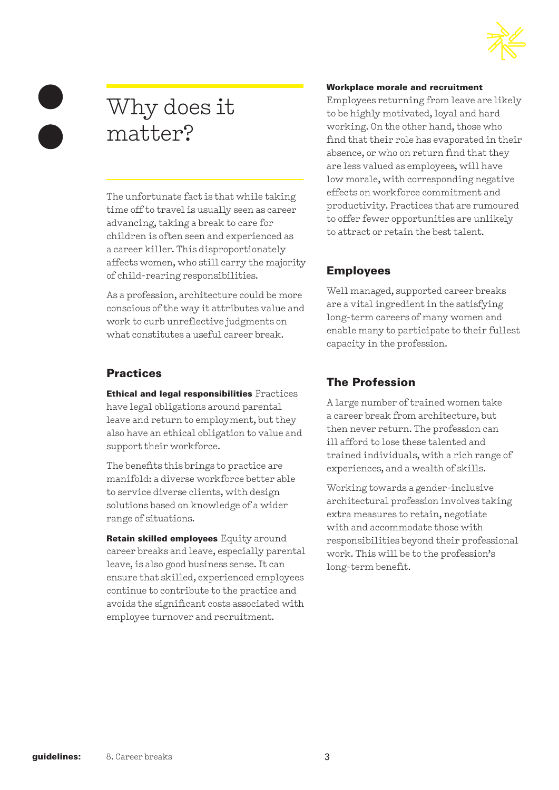

# Why does it matter?

The unfortunate fact is that while taking time off to travel is usually seen as career advancing, taking a break to care for children is often seen and experienced as a career killer. This disproportionately affects women, who still carry the majority of child-rearing responsibilities.

As a profession, architecture could be more conscious of the way it attributes value and work to curb unreflective judgments on what constitutes a useful career break.

## **Practices**

Ethical and legal responsibilities Practices have legal obligations around parental leave and return to employment, but they also have an ethical obligation to value and support their workforce.

The benefits this brings to practice are manifold: a diverse workforce better able to service diverse clients, with design solutions based on knowledge of a wider range of situations.

Retain skilled employees Equity around career breaks and leave, especially parental leave, is also good business sense. It can ensure that skilled, experienced employees continue to contribute to the practice and avoids the significant costs associated with employee turnover and recruitment.

#### Workplace morale and recruitment

Employees returning from leave are likely to be highly motivated, loyal and hard working. On the other hand, those who find that their role has evaporated in their absence, or who on return find that they are less valued as employees, will have low morale, with corresponding negative effects on workforce commitment and productivity. Practices that are rumoured to offer fewer opportunities are unlikely to attract or retain the best talent.

# Employees

Well managed, supported career breaks are a vital ingredient in the satisfying long-term careers of many women and enable many to participate to their fullest capacity in the profession.

# The Profession

A large number of trained women take a career break from architecture, but then never return. The profession can ill afford to lose these talented and trained individuals, with a rich range of experiences, and a wealth of skills.

Working towards a gender-inclusive architectural profession involves taking extra measures to retain, negotiate with and accommodate those with responsibilities beyond their professional work. This will be to the profession's long-term benefit.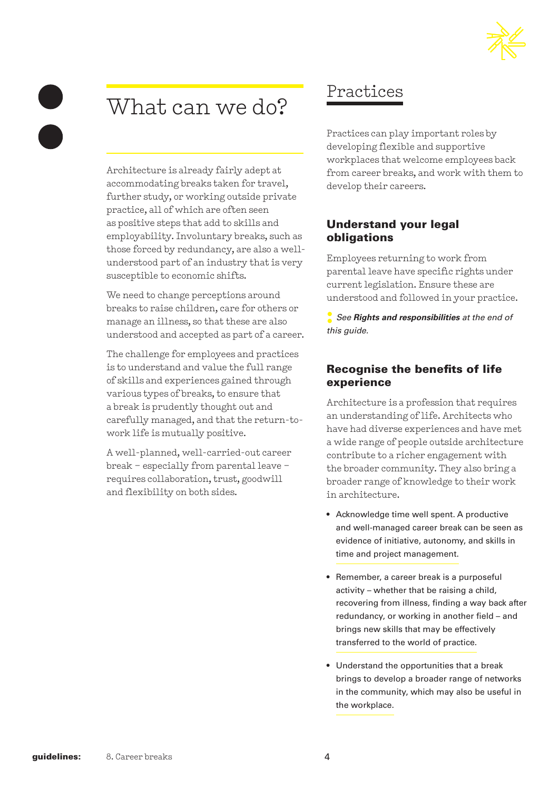# What can we do?

Architecture is already fairly adept at accommodating breaks taken for travel, further study, or working outside private practice, all of which are often seen as positive steps that add to skills and employability. Involuntary breaks, such as those forced by redundancy, are also a wellunderstood part of an industry that is very susceptible to economic shifts.

We need to change perceptions around breaks to raise children, care for others or manage an illness, so that these are also understood and accepted as part of a career.

The challenge for employees and practices is to understand and value the full range of skills and experiences gained through various types of breaks, to ensure that a break is prudently thought out and carefully managed, and that the return-towork life is mutually positive.

A well-planned, well-carried-out career break – especially from parental leave – requires collaboration, trust, goodwill and flexibility on both sides.

# Practices

Practices can play important roles by developing flexible and supportive workplaces that welcome employees back from career breaks, and work with them to develop their careers.

## Understand your legal obligations

Employees returning to work from parental leave have specific rights under current legislation. Ensure these are understood and followed in your practice.

**:** *See Rights and responsibilities at the end of this guide.*

## Recognise the benefits of life experience

Architecture is a profession that requires an understanding of life. Architects who have had diverse experiences and have met a wide range of people outside architecture contribute to a richer engagement with the broader community. They also bring a broader range of knowledge to their work in architecture.

- Acknowledge time well spent. A productive and well-managed career break can be seen as evidence of initiative, autonomy, and skills in time and project management.
- Remember, a career break is a purposeful activity – whether that be raising a child, recovering from illness, finding a way back after redundancy, or working in another field – and brings new skills that may be effectively transferred to the world of practice.
- Understand the opportunities that a break brings to develop a broader range of networks in the community, which may also be useful in the workplace.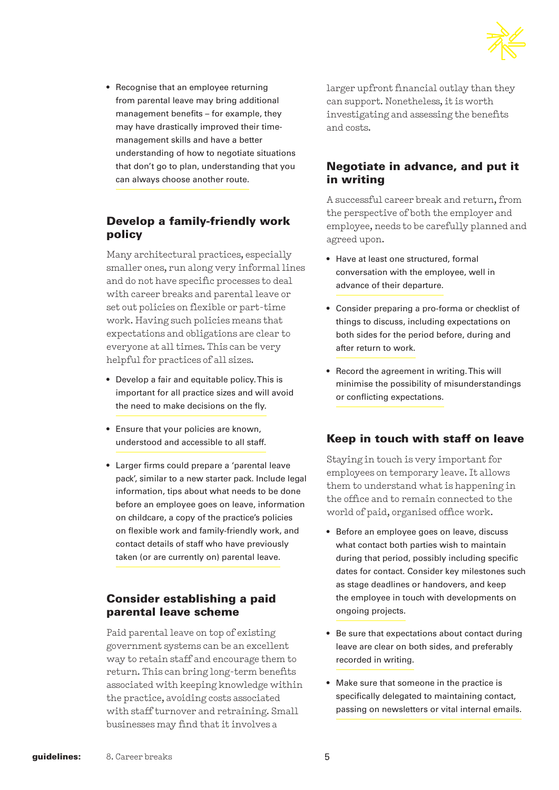

• Recognise that an employee returning from parental leave may bring additional management benefits – for example, they may have drastically improved their timemanagement skills and have a better understanding of how to negotiate situations that don't go to plan, understanding that you can always choose another route.

## Develop a family-friendly work policy

Many architectural practices, especially smaller ones, run along very informal lines and do not have specific processes to deal with career breaks and parental leave or set out policies on flexible or part-time work. Having such policies means that expectations and obligations are clear to everyone at all times. This can be very helpful for practices of all sizes.

- Develop a fair and equitable policy. This is important for all practice sizes and will avoid the need to make decisions on the fly.
- Ensure that your policies are known, understood and accessible to all staff.
- Larger firms could prepare a 'parental leave pack', similar to a new starter pack. Include legal information, tips about what needs to be done before an employee goes on leave, information on childcare, a copy of the practice's policies on flexible work and family-friendly work, and contact details of staff who have previously taken (or are currently on) parental leave.

#### Consider establishing a paid parental leave scheme

Paid parental leave on top of existing government systems can be an excellent way to retain staff and encourage them to return. This can bring long-term benefits associated with keeping knowledge within the practice, avoiding costs associated with staff turnover and retraining. Small businesses may find that it involves a

larger upfront financial outlay than they can support. Nonetheless, it is worth investigating and assessing the benefits and costs.

## Negotiate in advance, and put it in writing

A successful career break and return, from the perspective of both the employer and employee, needs to be carefully planned and agreed upon.

- Have at least one structured, formal conversation with the employee, well in advance of their departure.
- Consider preparing a pro-forma or checklist of things to discuss, including expectations on both sides for the period before, during and after return to work.
- Record the agreement in writing. This will minimise the possibility of misunderstandings or conflicting expectations.

## Keep in touch with staff on leave

Staying in touch is very important for employees on temporary leave. It allows them to understand what is happening in the office and to remain connected to the world of paid, organised office work.

- Before an employee goes on leave, discuss what contact both parties wish to maintain during that period, possibly including specific dates for contact. Consider key milestones such as stage deadlines or handovers, and keep the employee in touch with developments on ongoing projects.
- Be sure that expectations about contact during leave are clear on both sides, and preferably recorded in writing.
- Make sure that someone in the practice is specifically delegated to maintaining contact, passing on newsletters or vital internal emails.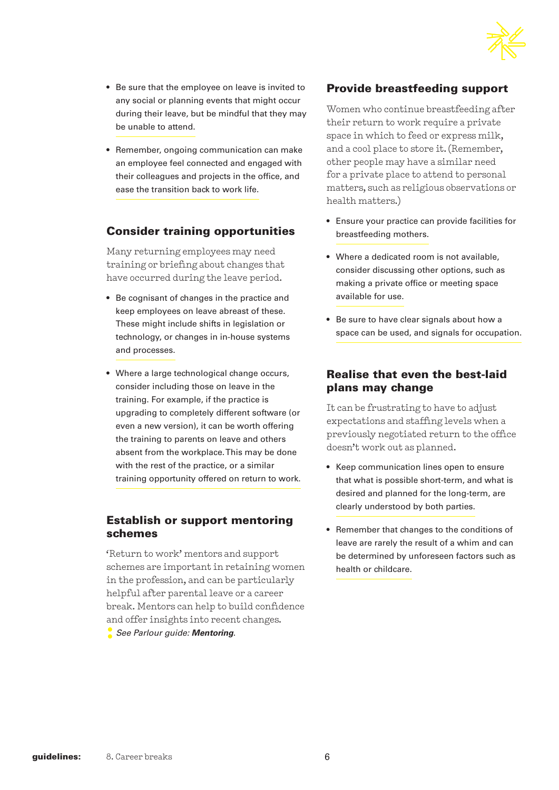

- Be sure that the employee on leave is invited to any social or planning events that might occur during their leave, but be mindful that they may be unable to attend.
- Remember, ongoing communication can make an employee feel connected and engaged with their colleagues and projects in the office, and ease the transition back to work life.

## Consider training opportunities

Many returning employees may need training or briefing about changes that have occurred during the leave period.

- Be cognisant of changes in the practice and keep employees on leave abreast of these. These might include shifts in legislation or technology, or changes in in-house systems and processes.
- Where a large technological change occurs, consider including those on leave in the training. For example, if the practice is upgrading to completely different software (or even a new version), it can be worth offering the training to parents on leave and others absent from the workplace. This may be done with the rest of the practice, or a similar training opportunity offered on return to work.

#### Establish or support mentoring schemes

'Return to work' mentors and support schemes are important in retaining women in the profession, and can be particularly helpful after parental leave or a career break. Mentors can help to build confidence and offer insights into recent changes.

**:** *See Parlour guide: Mentoring*.

## Provide breastfeeding support

Women who continue breastfeeding after their return to work require a private space in which to feed or express milk, and a cool place to store it. (Remember, other people may have a similar need for a private place to attend to personal matters, such as religious observations or health matters.)

- Ensure your practice can provide facilities for breastfeeding mothers.
- Where a dedicated room is not available, consider discussing other options, such as making a private office or meeting space available for use.
- Be sure to have clear signals about how a space can be used, and signals for occupation.

#### Realise that even the best-laid plans may change

It can be frustrating to have to adjust expectations and staffing levels when a previously negotiated return to the office doesn't work out as planned.

- Keep communication lines open to ensure that what is possible short-term, and what is desired and planned for the long-term, are clearly understood by both parties.
- Remember that changes to the conditions of leave are rarely the result of a whim and can be determined by unforeseen factors such as health or childcare.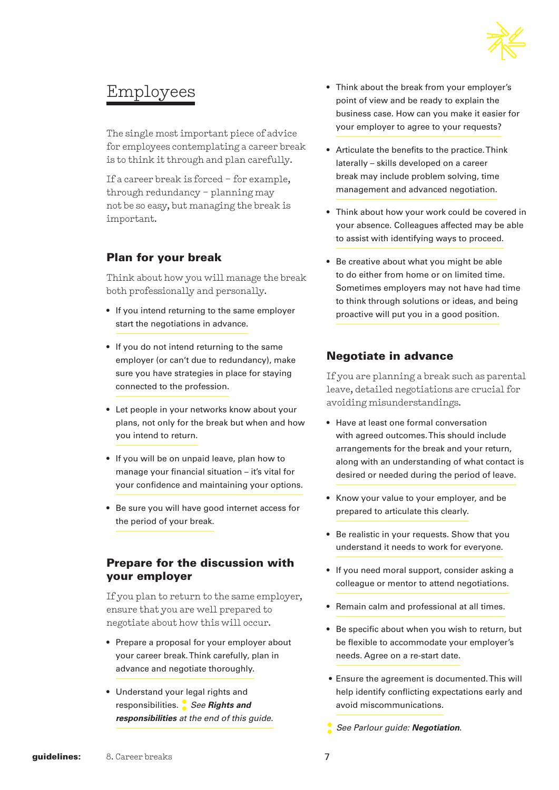

# Employees

The single most important piece of advice for employees contemplating a career break is to think it through and plan carefully.

If a career break is forced – for example, through redundancy – planning may not be so easy, but managing the break is important.

## Plan for your break

Think about how you will manage the break both professionally and personally.

- If you intend returning to the same employer start the negotiations in advance.
- If you do not intend returning to the same employer (or can't due to redundancy), make sure you have strategies in place for staying connected to the profession.
- Let people in your networks know about your plans, not only for the break but when and how you intend to return.
- If you will be on unpaid leave, plan how to manage your financial situation – it's vital for your confidence and maintaining your options.
- Be sure you will have good internet access for the period of your break.

#### Prepare for the discussion with your employer

If you plan to return to the same employer, ensure that you are well prepared to negotiate about how this will occur.

- Prepare a proposal for your employer about your career break. Think carefully, plan in advance and negotiate thoroughly.
- Understand your legal rights and responsibilities. **:** *See Rights and responsibilities at the end of this guide.*
- Think about the break from your employer's point of view and be ready to explain the business case. How can you make it easier for your employer to agree to your requests?
- Articulate the benefits to the practice. Think laterally – skills developed on a career break may include problem solving, time management and advanced negotiation.
- Think about how your work could be covered in your absence. Colleagues affected may be able to assist with identifying ways to proceed.
- Be creative about what you might be able to do either from home or on limited time. Sometimes employers may not have had time to think through solutions or ideas, and being proactive will put you in a good position.

## Negotiate in advance

If you are planning a break such as parental leave, detailed negotiations are crucial for avoiding misunderstandings.

- Have at least one formal conversation with agreed outcomes. This should include arrangements for the break and your return, along with an understanding of what contact is desired or needed during the period of leave.
- Know your value to your employer, and be prepared to articulate this clearly.
- Be realistic in your requests. Show that you understand it needs to work for everyone.
- If you need moral support, consider asking a colleague or mentor to attend negotiations.
- Remain calm and professional at all times.
- Be specific about when you wish to return, but be flexible to accommodate your employer's needs. Agree on a re-start date.
- Ensure the agreement is documented. This will help identify conflicting expectations early and avoid miscommunications.
- **:** *See Parlour guide: Negotiation*.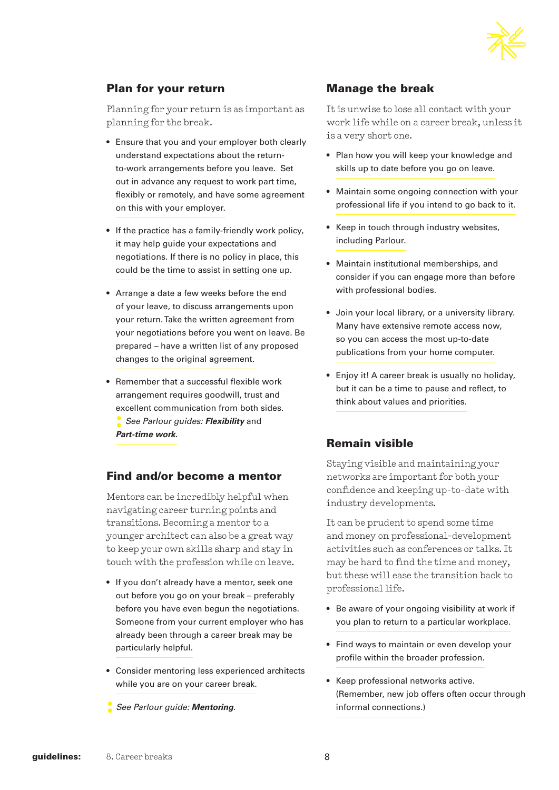

#### Plan for your return

Planning for your return is as important as planning for the break.

- Ensure that you and your employer both clearly understand expectations about the returnto-work arrangements before you leave. Set out in advance any request to work part time, flexibly or remotely, and have some agreement on this with your employer.
- If the practice has a family-friendly work policy, it may help guide your expectations and negotiations. If there is no policy in place, this could be the time to assist in setting one up.
- Arrange a date a few weeks before the end of your leave, to discuss arrangements upon your return. Take the written agreement from your negotiations before you went on leave. Be prepared – have a written list of any proposed changes to the original agreement.
- Remember that a successful flexible work arrangement requires goodwill, trust and excellent communication from both sides. **:** *See Parlour guides: Flexibility* and *Part-time work.*

#### Find and/or become a mentor

Mentors can be incredibly helpful when navigating career turning points and transitions. Becoming a mentor to a younger architect can also be a great way to keep your own skills sharp and stay in touch with the profession while on leave.

- If you don't already have a mentor, seek one out before you go on your break – preferably before you have even begun the negotiations. Someone from your current employer who has already been through a career break may be particularly helpful.
- Consider mentoring less experienced architects while you are on your career break.
- **:** *See Parlour guide: Mentoring*.

## Manage the break

It is unwise to lose all contact with your work life while on a career break, unless it is a very short one.

- Plan how you will keep your knowledge and skills up to date before you go on leave.
- Maintain some ongoing connection with your professional life if you intend to go back to it.
- Keep in touch through industry websites, including Parlour.
- Maintain institutional memberships, and consider if you can engage more than before with professional bodies.
- Join your local library, or a university library. Many have extensive remote access now, so you can access the most up-to-date publications from your home computer.
- Enjoy it! A career break is usually no holiday, but it can be a time to pause and reflect, to think about values and priorities.

## Remain visible

Staying visible and maintaining your networks are important for both your confidence and keeping up-to-date with industry developments.

It can be prudent to spend some time and money on professional-development activities such as conferences or talks. It may be hard to find the time and money, but these will ease the transition back to professional life.

- Be aware of your ongoing visibility at work if you plan to return to a particular workplace.
- Find ways to maintain or even develop your profile within the broader profession.
- Keep professional networks active. (Remember, new job offers often occur through informal connections.)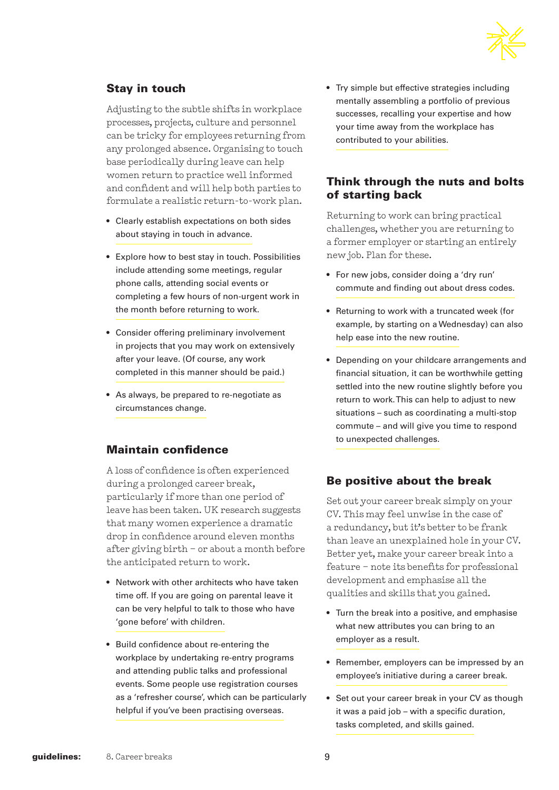

## Stay in touch

Adjusting to the subtle shifts in workplace processes, projects, culture and personnel can be tricky for employees returning from any prolonged absence. Organising to touch base periodically during leave can help women return to practice well informed and confident and will help both parties to formulate a realistic return-to-work plan.

- Clearly establish expectations on both sides about staying in touch in advance.
- Explore how to best stay in touch. Possibilities include attending some meetings, regular phone calls, attending social events or completing a few hours of non-urgent work in the month before returning to work.
- Consider offering preliminary involvement in projects that you may work on extensively after your leave. (Of course, any work completed in this manner should be paid.)
- As always, be prepared to re-negotiate as circumstances change.

## Maintain confidence

A loss of confidence is often experienced during a prolonged career break, particularly if more than one period of leave has been taken. UK research suggests that many women experience a dramatic drop in confidence around eleven months after giving birth – or about a month before the anticipated return to work.

- Network with other architects who have taken time off. If you are going on parental leave it can be very helpful to talk to those who have 'gone before' with children.
- Build confidence about re-entering the workplace by undertaking re-entry programs and attending public talks and professional events. Some people use registration courses as a 'refresher course', which can be particularly helpful if you've been practising overseas.

• Try simple but effective strategies including mentally assembling a portfolio of previous successes, recalling your expertise and how your time away from the workplace has contributed to your abilities.

#### Think through the nuts and bolts of starting back

Returning to work can bring practical challenges, whether you are returning to a former employer or starting an entirely new job. Plan for these.

- For new jobs, consider doing a 'dry run' commute and finding out about dress codes.
- Returning to work with a truncated week (for example, by starting on a Wednesday) can also help ease into the new routine.
- Depending on your childcare arrangements and financial situation, it can be worthwhile getting settled into the new routine slightly before you return to work. This can help to adjust to new situations – such as coordinating a multi-stop commute – and will give you time to respond to unexpected challenges.

#### Be positive about the break

Set out your career break simply on your CV. This may feel unwise in the case of a redundancy, but it's better to be frank than leave an unexplained hole in your CV. Better yet, make your career break into a feature – note its benefits for professional development and emphasise all the qualities and skills that you gained.

- Turn the break into a positive, and emphasise what new attributes you can bring to an employer as a result.
- Remember, employers can be impressed by an employee's initiative during a career break.
- Set out your career break in your CV as though it was a paid job – with a specific duration, tasks completed, and skills gained.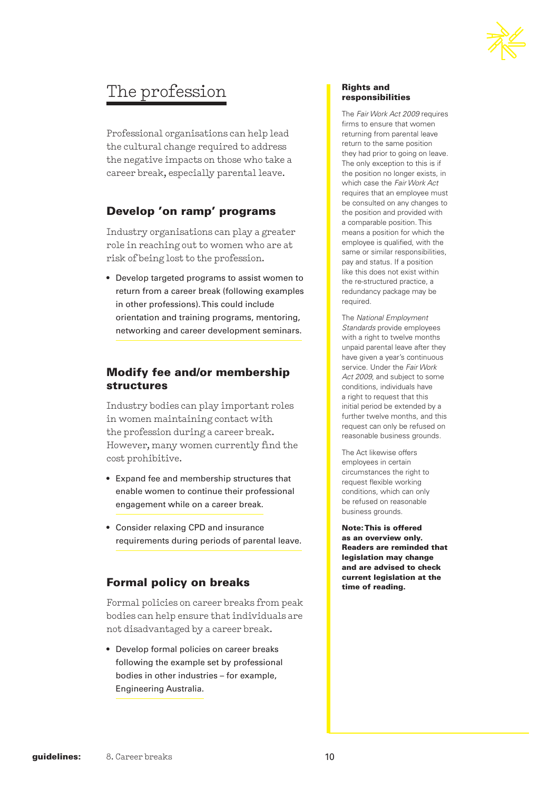

# The profession

Professional organisations can help lead the cultural change required to address the negative impacts on those who take a career break, especially parental leave.

## Develop 'on ramp' programs

Industry organisations can play a greater role in reaching out to women who are at risk of being lost to the profession.

• Develop targeted programs to assist women to return from a career break (following examples in other professions). This could include orientation and training programs, mentoring, networking and career development seminars.

#### Modify fee and/or membership structures

Industry bodies can play important roles in women maintaining contact with the profession during a career break. However, many women currently find the cost prohibitive.

- Expand fee and membership structures that enable women to continue their professional engagement while on a career break.
- Consider relaxing CPD and insurance requirements during periods of parental leave.

#### Formal policy on breaks

Formal policies on career breaks from peak bodies can help ensure that individuals are not disadvantaged by a career break.

• Develop formal policies on career breaks following the example set by professional bodies in other industries – for example, Engineering Australia.

#### Rights and responsibilities

The *Fair Work Act 2009* requires firms to ensure that women returning from parental leave return to the same position they had prior to going on leave. The only exception to this is if the position no longer exists, in which case the *Fair Work Act* requires that an employee must be consulted on any changes to the position and provided with a comparable position. This means a position for which the employee is qualified, with the same or similar responsibilities, pay and status. If a position like this does not exist within the re-structured practice, a redundancy package may be required.

The *National Employment Standards* provide employees with a right to twelve months unpaid parental leave after they have given a year's continuous service. Under the *Fair Work Act 2009*, and subject to some conditions, individuals have a right to request that this initial period be extended by a further twelve months, and this request can only be refused on reasonable business grounds.

The Act likewise offers employees in certain circumstances the right to request flexible working conditions, which can only be refused on reasonable business grounds.

Note: This is offered as an overview only. Readers are reminded that legislation may change and are advised to check current legislation at the time of reading.